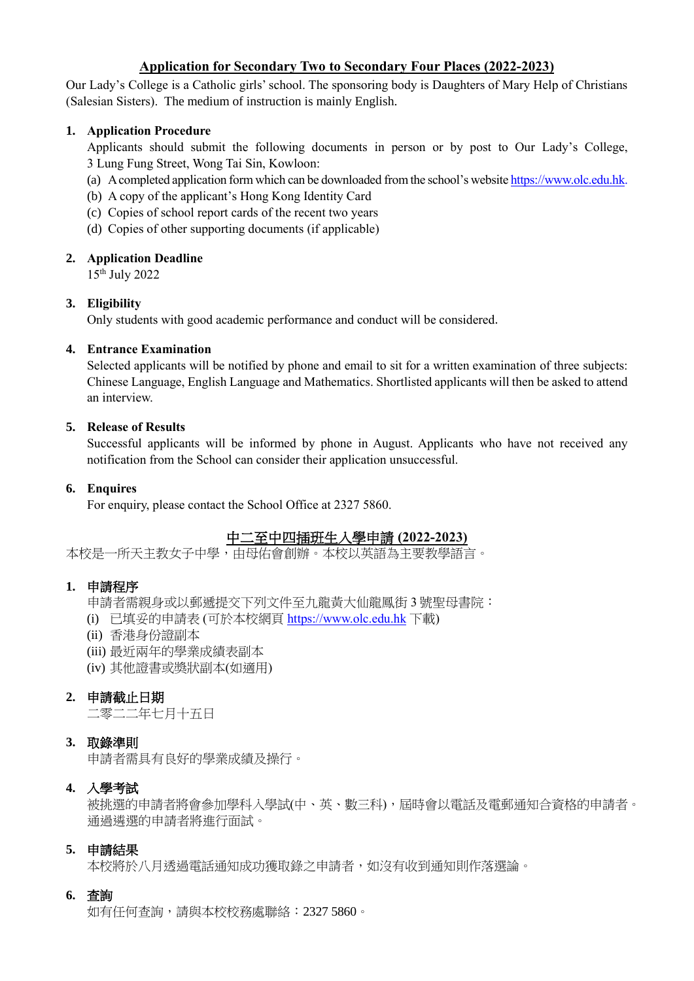# **Application for Secondary Two to Secondary Four Places (2022-2023)**

Our Lady's College is a Catholic girls' school. The sponsoring body is Daughters of Mary Help of Christians (Salesian Sisters). The medium of instruction is mainly English.

## **1. Application Procedure**

Applicants should submit the following documents in person or by post to Our Lady's College, 3 Lung Fung Street, Wong Tai Sin, Kowloon:

- (a) A completed application form which can be downloaded from the school's website [https://www.olc.edu.hk.](https://www.olc.edu.hk/)
- (b) A copy of the applicant's Hong Kong Identity Card
- (c) Copies of school report cards of the recent two years
- (d) Copies of other supporting documents (if applicable)

## **2. Application Deadline**

15th July 2022

## **3. Eligibility**

Only students with good academic performance and conduct will be considered.

#### **4. Entrance Examination**

Selected applicants will be notified by phone and email to sit for a written examination of three subjects: Chinese Language, English Language and Mathematics. Shortlisted applicants will then be asked to attend an interview.

#### **5. Release of Results**

Successful applicants will be informed by phone in August. Applicants who have not received any notification from the School can consider their application unsuccessful.

#### **6. Enquires**

For enquiry, please contact the School Office at 2327 5860.

# 中二至中四插班生入學申請 **(2022-2023)**

本校是一所天主教女子中學,由母佑會創辦。本校以英語為主要教學語言。

## **1.** 申請程序

申請者需親身或以郵遞提交下列文件至九龍黃大仙龍鳳街 3 號聖母書院:

- (i) 已填妥的申請表 (可於本校網頁 [https://www.olc.edu.hk](https://www.olc.edu.hk/) 下載)
- (ii) 香港身份證副本
- (iii) 最近兩年的學業成績表副本
- (iv) 其他證書或獎狀副本(如適用)

## **2.** 申請截止日期

二零二二年七月十五日

## **3.** 取錄準則

申請者需具有良好的學業成績及操行。

## **4.** 入學考試

被挑選的申請者將會參加學科入學試(中、英、數三科),屆時會以電話及電郵通知合資格的申請者。 通過遴選的申請者將進行面試。

## **5.** 申請結果

本校將於八月透過電話通知成功獲取錄之申請者,如沒有收到通知則作落選論。

## **6.** 查詢

如有任何查詢,請與本校校務處聯絡:2327 5860。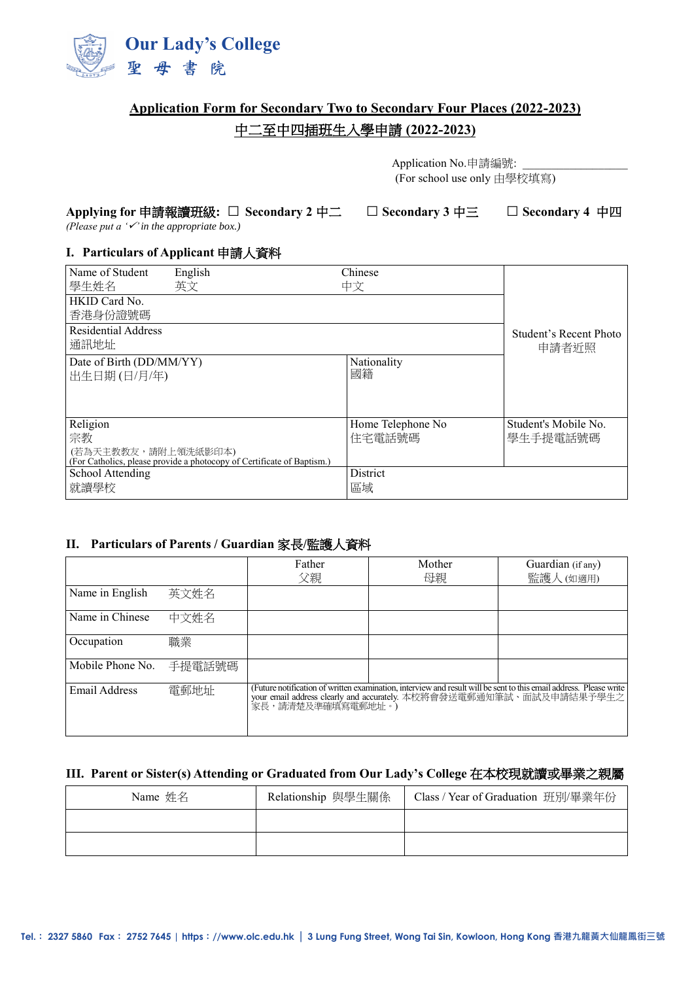

# **Application Form for Secondary Two to Secondary Four Places (2022-2023)**

# 中二至中四插班生入學申請 **(2022-2023)**

Application No.申請編號: (For school use only 由學校填寫)

#### **Applying for** 申請報讀班級**: □ Secondary 2** 中二 **□ Secondary 3** 中三 **□ Secondary 4** 中四

*(Please put a '' in the appropriate box.)*

#### **I. Particulars of Applicant** 申請人資料

| Name of Student                         | English                                                                | Chinese                     |                                  |
|-----------------------------------------|------------------------------------------------------------------------|-----------------------------|----------------------------------|
| 學生姓名<br>HKID Card No.<br>香港身份證號碼        | 英文                                                                     | 中文                          |                                  |
| <b>Residential Address</b><br>通訊地址      | Student's Recent Photo<br>申請者近照                                        |                             |                                  |
| Date of Birth (DD/MM/YY)<br>出生日期(日/月/年) |                                                                        | Nationality<br>國籍           |                                  |
| Religion<br>宗教<br>(若為天主教教友,請附上領洗紙影印本)   | (For Catholics, please provide a photocopy of Certificate of Baptism.) | Home Telephone No<br>住宅電話號碼 | Student's Mobile No.<br>學生手提電話號碼 |
| School Attending<br>就讀學校                |                                                                        | <b>District</b><br>區域       |                                  |

## **II. Particulars of Parents / Guardian** 家長**/**監護人資料

|                  |        | Father<br>父親      | Mother<br>母親                                                                                                                                                                              | Guardian (if any)<br>監護人 (如適用) |
|------------------|--------|-------------------|-------------------------------------------------------------------------------------------------------------------------------------------------------------------------------------------|--------------------------------|
| Name in English  | 英文姓名   |                   |                                                                                                                                                                                           |                                |
| Name in Chinese  | 中文姓名   |                   |                                                                                                                                                                                           |                                |
| Occupation       | 職業     |                   |                                                                                                                                                                                           |                                |
| Mobile Phone No. | 手提電話號碼 |                   |                                                                                                                                                                                           |                                |
| Email Address    | 電郵地址   | 家長,請清楚及準確填寫電郵地址。) | (Future notification of written examination, interview and result will be sent to this email address. Please write<br>your email address clearly and accurately. 本校將會發送電郵通知筆試、面試及申請結果予學生之 |                                |

## **III. Parent or Sister(s) Attending or Graduated from Our Lady's College** 在本校現就讀或畢業之親屬

| Name 姓名 | Relationship 與學生關係 | Class / Year of Graduation 班別/畢業年份 |
|---------|--------------------|------------------------------------|
|         |                    |                                    |
|         |                    |                                    |